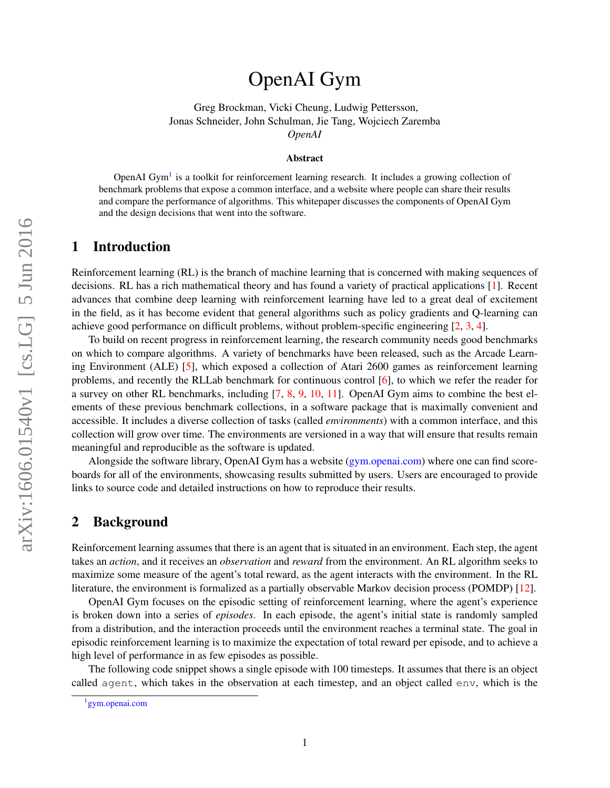# arXiv:1606.01540v1 [cs.LG] 5 Jun 2016 arXiv:1606.01540v1 [cs.LG] 5 Jun 2016

# OpenAI Gym

Greg Brockman, Vicki Cheung, Ludwig Pettersson, Jonas Schneider, John Schulman, Jie Tang, Wojciech Zaremba *OpenAI*

### Abstract

OpenAI Gym<sup>[1](#page-0-0)</sup> is a toolkit for reinforcement learning research. It includes a growing collection of benchmark problems that expose a common interface, and a website where people can share their results and compare the performance of algorithms. This whitepaper discusses the components of OpenAI Gym and the design decisions that went into the software.

## 1 Introduction

Reinforcement learning (RL) is the branch of machine learning that is concerned with making sequences of decisions. RL has a rich mathematical theory and has found a variety of practical applications [\[1\]](#page-3-0). Recent advances that combine deep learning with reinforcement learning have led to a great deal of excitement in the field, as it has become evident that general algorithms such as policy gradients and Q-learning can achieve good performance on difficult problems, without problem-specific engineering [\[2,](#page-3-1) [3,](#page-3-2) [4\]](#page-3-3).

To build on recent progress in reinforcement learning, the research community needs good benchmarks on which to compare algorithms. A variety of benchmarks have been released, such as the Arcade Learning Environment (ALE) [\[5\]](#page-3-4), which exposed a collection of Atari 2600 games as reinforcement learning problems, and recently the RLLab benchmark for continuous control [\[6\]](#page-3-5), to which we refer the reader for a survey on other RL benchmarks, including [\[7,](#page-3-6) [8,](#page-3-7) [9,](#page-3-8) [10,](#page-3-9) [11\]](#page-3-10). OpenAI Gym aims to combine the best elements of these previous benchmark collections, in a software package that is maximally convenient and accessible. It includes a diverse collection of tasks (called *environments*) with a common interface, and this collection will grow over time. The environments are versioned in a way that will ensure that results remain meaningful and reproducible as the software is updated.

Alongside the software library, OpenAI Gym has a website [\(gym.openai.com\)](gym.openai.com) where one can find scoreboards for all of the environments, showcasing results submitted by users. Users are encouraged to provide links to source code and detailed instructions on how to reproduce their results.

### 2 Background

Reinforcement learning assumes that there is an agent that is situated in an environment. Each step, the agent takes an *action*, and it receives an *observation* and *reward* from the environment. An RL algorithm seeks to maximize some measure of the agent's total reward, as the agent interacts with the environment. In the RL literature, the environment is formalized as a partially observable Markov decision process (POMDP) [\[12\]](#page-3-11).

OpenAI Gym focuses on the episodic setting of reinforcement learning, where the agent's experience is broken down into a series of *episodes*. In each episode, the agent's initial state is randomly sampled from a distribution, and the interaction proceeds until the environment reaches a terminal state. The goal in episodic reinforcement learning is to maximize the expectation of total reward per episode, and to achieve a high level of performance in as few episodes as possible.

The following code snippet shows a single episode with 100 timesteps. It assumes that there is an object called agent, which takes in the observation at each timestep, and an object called env, which is the

<span id="page-0-0"></span><sup>1</sup> <gym.openai.com>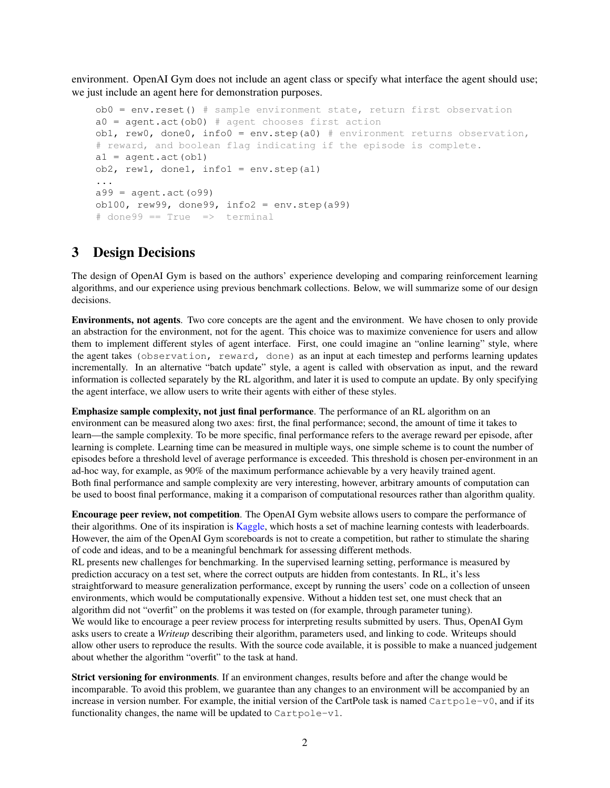environment. OpenAI Gym does not include an agent class or specify what interface the agent should use; we just include an agent here for demonstration purposes.

```
ob0 = env.reset() # sample environment state, return first observation
a0 = agent.act(obj) # agent chooses first action
ob1, rew0, done0, info0 = env.step(a0) # environment returns observation,
# reward, and boolean flag indicating if the episode is complete.
a1 = aqent.act(obl)ob2, rew1, done1, info1 = env.step(a1)
...
a99 = agent.act(099)ob100, rew99, done99, info2 = env.step(a99)
\# done99 == True => terminal
```
### 3 Design Decisions

The design of OpenAI Gym is based on the authors' experience developing and comparing reinforcement learning algorithms, and our experience using previous benchmark collections. Below, we will summarize some of our design decisions.

Environments, not agents. Two core concepts are the agent and the environment. We have chosen to only provide an abstraction for the environment, not for the agent. This choice was to maximize convenience for users and allow them to implement different styles of agent interface. First, one could imagine an "online learning" style, where the agent takes (observation, reward, done) as an input at each timestep and performs learning updates incrementally. In an alternative "batch update" style, a agent is called with observation as input, and the reward information is collected separately by the RL algorithm, and later it is used to compute an update. By only specifying the agent interface, we allow users to write their agents with either of these styles.

Emphasize sample complexity, not just final performance. The performance of an RL algorithm on an environment can be measured along two axes: first, the final performance; second, the amount of time it takes to learn—the sample complexity. To be more specific, final performance refers to the average reward per episode, after learning is complete. Learning time can be measured in multiple ways, one simple scheme is to count the number of episodes before a threshold level of average performance is exceeded. This threshold is chosen per-environment in an ad-hoc way, for example, as 90% of the maximum performance achievable by a very heavily trained agent. Both final performance and sample complexity are very interesting, however, arbitrary amounts of computation can be used to boost final performance, making it a comparison of computational resources rather than algorithm quality.

Encourage peer review, not competition. The OpenAI Gym website allows users to compare the performance of their algorithms. One of its inspiration is [Kaggle,](http://kaggle.com) which hosts a set of machine learning contests with leaderboards. However, the aim of the OpenAI Gym scoreboards is not to create a competition, but rather to stimulate the sharing of code and ideas, and to be a meaningful benchmark for assessing different methods.

RL presents new challenges for benchmarking. In the supervised learning setting, performance is measured by prediction accuracy on a test set, where the correct outputs are hidden from contestants. In RL, it's less straightforward to measure generalization performance, except by running the users' code on a collection of unseen environments, which would be computationally expensive. Without a hidden test set, one must check that an algorithm did not "overfit" on the problems it was tested on (for example, through parameter tuning). We would like to encourage a peer review process for interpreting results submitted by users. Thus, OpenAI Gym asks users to create a *Writeup* describing their algorithm, parameters used, and linking to code. Writeups should allow other users to reproduce the results. With the source code available, it is possible to make a nuanced judgement about whether the algorithm "overfit" to the task at hand.

Strict versioning for environments. If an environment changes, results before and after the change would be incomparable. To avoid this problem, we guarantee than any changes to an environment will be accompanied by an increase in version number. For example, the initial version of the CartPole task is named  $C$ artpole-v0, and if its functionality changes, the name will be updated to  $\text{Cartpole}-v1$ .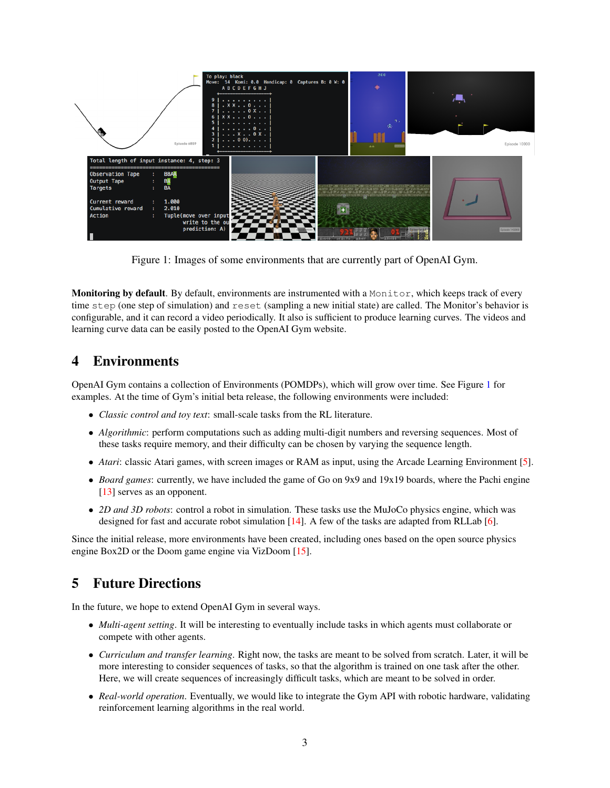

<span id="page-2-0"></span>Figure 1: Images of some environments that are currently part of OpenAI Gym.

Monitoring by default. By default, environments are instrumented with a Monitor, which keeps track of every time step (one step of simulation) and reset (sampling a new initial state) are called. The Monitor's behavior is configurable, and it can record a video periodically. It also is sufficient to produce learning curves. The videos and learning curve data can be easily posted to the OpenAI Gym website.

# 4 Environments

OpenAI Gym contains a collection of Environments (POMDPs), which will grow over time. See Figure [1](#page-2-0) for examples. At the time of Gym's initial beta release, the following environments were included:

- *Classic control and toy text*: small-scale tasks from the RL literature.
- *Algorithmic*: perform computations such as adding multi-digit numbers and reversing sequences. Most of these tasks require memory, and their difficulty can be chosen by varying the sequence length.
- *Atari*: classic Atari games, with screen images or RAM as input, using the Arcade Learning Environment [\[5\]](#page-3-4).
- *Board games*: currently, we have included the game of Go on 9x9 and 19x19 boards, where the Pachi engine [\[13\]](#page-3-12) serves as an opponent.
- *2D and 3D robots*: control a robot in simulation. These tasks use the MuJoCo physics engine, which was designed for fast and accurate robot simulation  $[14]$ . A few of the tasks are adapted from RLLab  $[6]$ .

Since the initial release, more environments have been created, including ones based on the open source physics engine Box2D or the Doom game engine via VizDoom [\[15\]](#page-3-14).

# 5 Future Directions

In the future, we hope to extend OpenAI Gym in several ways.

- *Multi-agent setting*. It will be interesting to eventually include tasks in which agents must collaborate or compete with other agents.
- *Curriculum and transfer learning*. Right now, the tasks are meant to be solved from scratch. Later, it will be more interesting to consider sequences of tasks, so that the algorithm is trained on one task after the other. Here, we will create sequences of increasingly difficult tasks, which are meant to be solved in order.
- *Real-world operation*. Eventually, we would like to integrate the Gym API with robotic hardware, validating reinforcement learning algorithms in the real world.